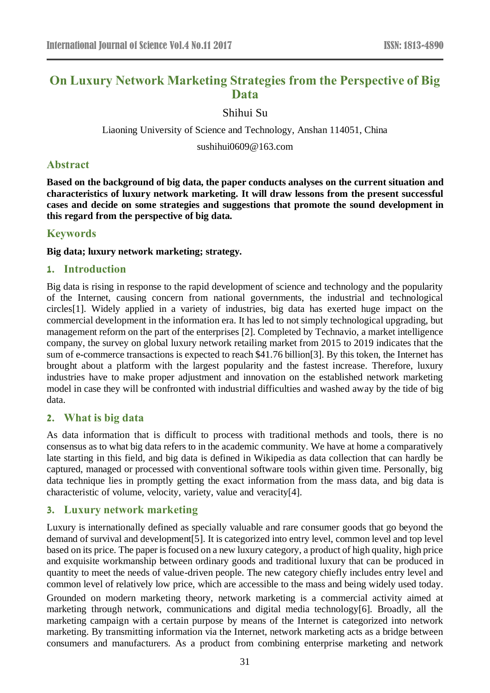# **On Luxury Network Marketing Strategies from the Perspective of Big Data**

Shihui Su

Liaoning University of Science and Technology, Anshan 114051, China

sushihui0609@163.com

# **Abstract**

**Based on the background of big data, the paper conducts analyses on the current situation and characteristics of luxury network marketing. It will draw lessons from the present successful cases and decide on some strategies and suggestions that promote the sound development in this regard from the perspective of big data.**

# **Keywords**

**Big data; luxury network marketing; strategy.**

# **1. Introduction**

Big data is rising in response to the rapid development of science and technology and the popularity of the Internet, causing concern from national governments, the industrial and technological circles[1]. Widely applied in a variety of industries, big data has exerted huge impact on the commercial development in the information era. It has led to not simply technological upgrading, but management reform on the part of the enterprises [2]. Completed by Technavio, a market intelligence company, the survey on global luxury network retailing market from 2015 to 2019 indicates that the sum of e-commerce transactions is expected to reach \$41.76 billion[3]. By this token, the Internet has brought about a platform with the largest popularity and the fastest increase. Therefore, luxury industries have to make proper adjustment and innovation on the established network marketing model in case they will be confronted with industrial difficulties and washed away by the tide of big data.

# **2. What is big data**

As data information that is difficult to process with traditional methods and tools, there is no consensus as to what big data refers to in the academic community. We have at home a comparatively late starting in this field, and big data is defined in Wikipedia as data collection that can hardly be captured, managed or processed with conventional software tools within given time. Personally, big data technique lies in promptly getting the exact information from the mass data, and big data is characteristic of volume, velocity, variety, value and veracity[4].

# **3. Luxury network marketing**

Luxury is internationally defined as specially valuable and rare consumer goods that go beyond the demand of survival and development[5]. It is categorized into entry level, common level and top level based on its price. The paper is focused on a new luxury category, a product of high quality, high price and exquisite workmanship between ordinary goods and traditional luxury that can be produced in quantity to meet the needs of value-driven people. The new category chiefly includes entry level and common level of relatively low price, which are accessible to the mass and being widely used today.

Grounded on modern marketing theory, network marketing is a commercial activity aimed at marketing through network, communications and digital media technology[6]. Broadly, all the marketing campaign with a certain purpose by means of the Internet is categorized into network marketing. By transmitting information via the Internet, network marketing acts as a bridge between consumers and manufacturers. As a product from combining enterprise marketing and network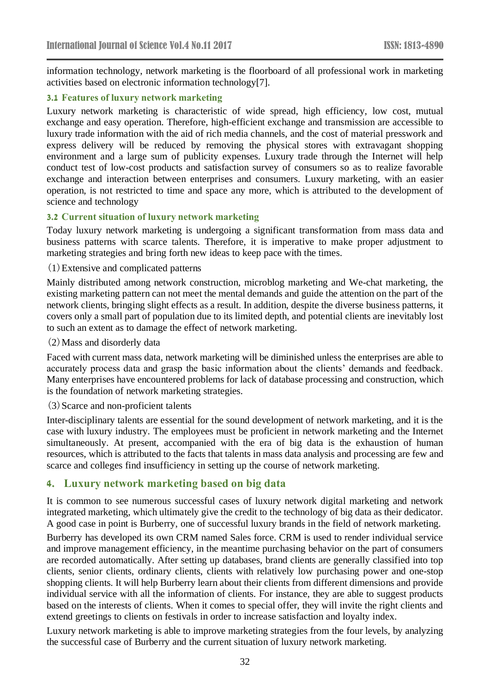information technology, network marketing is the floorboard of all professional work in marketing activities based on electronic information technology[7].

#### **3.1 Features of luxury network marketing**

Luxury network marketing is characteristic of wide spread, high efficiency, low cost, mutual exchange and easy operation. Therefore, high-efficient exchange and transmission are accessible to luxury trade information with the aid of rich media channels, and the cost of material presswork and express delivery will be reduced by removing the physical stores with extravagant shopping environment and a large sum of publicity expenses. Luxury trade through the Internet will help conduct test of low-cost products and satisfaction survey of consumers so as to realize favorable exchange and interaction between enterprises and consumers. Luxury marketing, with an easier operation, is not restricted to time and space any more, which is attributed to the development of science and technology

#### **3.2 Current situation of luxury network marketing**

Today luxury network marketing is undergoing a significant transformation from mass data and business patterns with scarce talents. Therefore, it is imperative to make proper adjustment to marketing strategies and bring forth new ideas to keep pace with the times.

#### (1)Extensive and complicated patterns

Mainly distributed among network construction, microblog marketing and We-chat marketing, the existing marketing pattern can not meet the mental demands and guide the attention on the part of the network clients, bringing slight effects as a result. In addition, despite the diverse business patterns, it covers only a small part of population due to its limited depth, and potential clients are inevitably lost to such an extent as to damage the effect of network marketing.

(2)Mass and disorderly data

Faced with current mass data, network marketing will be diminished unless the enterprises are able to accurately process data and grasp the basic information about the clients' demands and feedback. Many enterprises have encountered problems for lack of database processing and construction, which is the foundation of network marketing strategies.

(3)Scarce and non-proficient talents

Inter-disciplinary talents are essential for the sound development of network marketing, and it is the case with luxury industry. The employees must be proficient in network marketing and the Internet simultaneously. At present, accompanied with the era of big data is the exhaustion of human resources, which is attributed to the facts that talents in mass data analysis and processing are few and scarce and colleges find insufficiency in setting up the course of network marketing.

# **4. Luxury network marketing based on big data**

It is common to see numerous successful cases of luxury network digital marketing and network integrated marketing, which ultimately give the credit to the technology of big data as their dedicator. A good case in point is Burberry, one of successful luxury brands in the field of network marketing.

Burberry has developed its own CRM named Sales force. CRM is used to render individual service and improve management efficiency, in the meantime purchasing behavior on the part of consumers are recorded automatically. After setting up databases, brand clients are generally classified into top clients, senior clients, ordinary clients, clients with relatively low purchasing power and one-stop shopping clients. It will help Burberry learn about their clients from different dimensions and provide individual service with all the information of clients. For instance, they are able to suggest products based on the interests of clients. When it comes to special offer, they will invite the right clients and extend greetings to clients on festivals in order to increase satisfaction and loyalty index.

Luxury network marketing is able to improve marketing strategies from the four levels, by analyzing the successful case of Burberry and the current situation of luxury network marketing.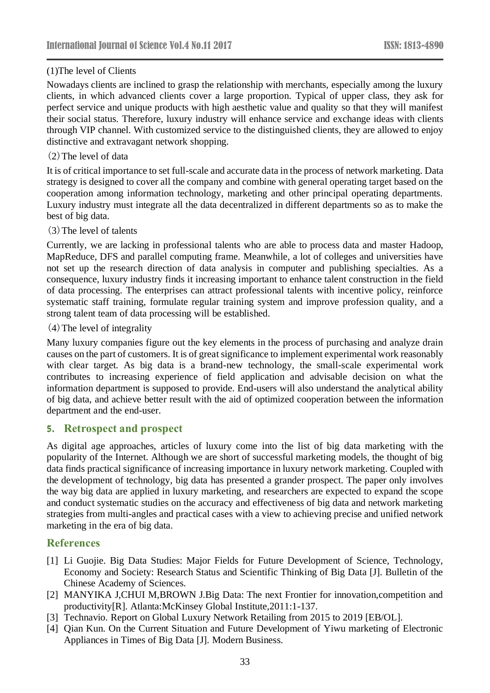# (1)The level of Clients

Nowadays clients are inclined to grasp the relationship with merchants, especially among the luxury clients, in which advanced clients cover a large proportion. Typical of upper class, they ask for perfect service and unique products with high aesthetic value and quality so that they will manifest their social status. Therefore, luxury industry will enhance service and exchange ideas with clients through VIP channel. With customized service to the distinguished clients, they are allowed to enjoy distinctive and extravagant network shopping.

### (2)The level of data

It is of critical importance to set full-scale and accurate data in the process of network marketing. Data strategy is designed to cover all the company and combine with general operating target based on the cooperation among information technology, marketing and other principal operating departments. Luxury industry must integrate all the data decentralized in different departments so as to make the best of big data.

#### (3)The level of talents

Currently, we are lacking in professional talents who are able to process data and master Hadoop, MapReduce, DFS and parallel computing frame. Meanwhile, a lot of colleges and universities have not set up the research direction of data analysis in computer and publishing specialties. As a consequence, luxury industry finds it increasing important to enhance talent construction in the field of data processing. The enterprises can attract professional talents with incentive policy, reinforce systematic staff training, formulate regular training system and improve profession quality, and a strong talent team of data processing will be established.

#### (4)The level of integrality

Many luxury companies figure out the key elements in the process of purchasing and analyze drain causes on the part of customers. It is of great significance to implement experimental work reasonably with clear target. As big data is a brand-new technology, the small-scale experimental work contributes to increasing experience of field application and advisable decision on what the information department is supposed to provide. End-users will also understand the analytical ability of big data, and achieve better result with the aid of optimized cooperation between the information department and the end-user.

# **5. Retrospect and prospect**

As digital age approaches, articles of luxury come into the list of big data marketing with the popularity of the Internet. Although we are short of successful marketing models, the thought of big data finds practical significance of increasing importance in luxury network marketing. Coupled with the development of technology, big data has presented a grander prospect. The paper only involves the way big data are applied in luxury marketing, and researchers are expected to expand the scope and conduct systematic studies on the accuracy and effectiveness of big data and network marketing strategies from multi-angles and practical cases with a view to achieving precise and unified network marketing in the era of big data.

# **References**

- [1] Li Guojie. Big Data Studies: Major Fields for Future Development of Science, Technology, Economy and Society: Research Status and Scientific Thinking of Big Data [J]. Bulletin of the Chinese Academy of Sciences.
- [2] MANYIKA J,CHUI M,BROWN J.Big Data: The next Frontier for innovation,competition and productivity[R]. Atlanta:McKinsey Global Institute,2011:1-137.
- [3] Technavio. Report on Global Luxury Network Retailing from 2015 to 2019 [EB/OL].
- [4] Qian Kun. On the Current Situation and Future Development of Yiwu marketing of Electronic Appliances in Times of Big Data [J]. Modern Business.